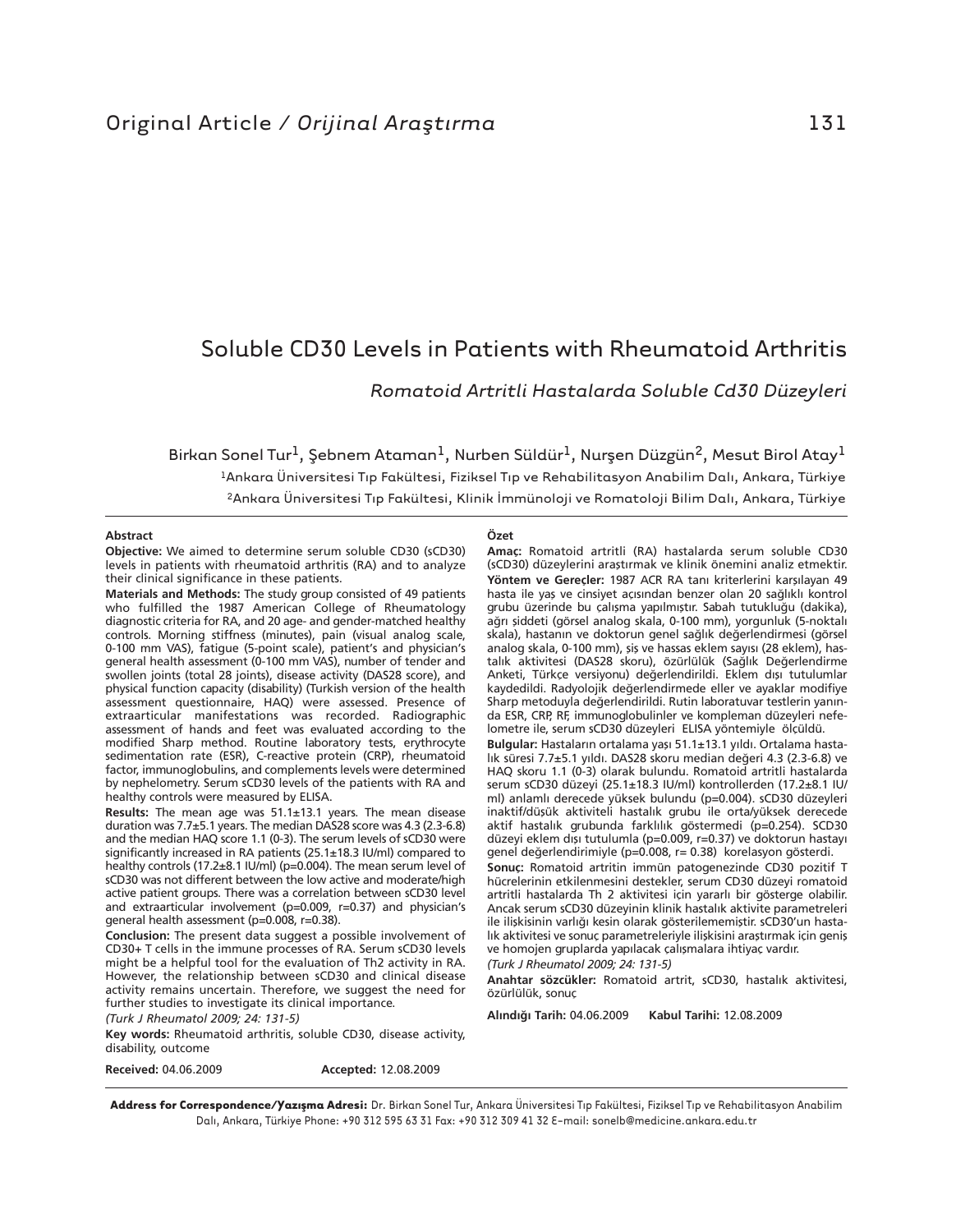# Soluble CD30 Levels in Patients with Rheumatoid Arthritis

*Romatoid Artritli Hastalarda Soluble Cd30 Düzeyleri*

Birkan Sonel Tur<sup>1</sup>, Şebnem Ataman<sup>1</sup>, Nurben Süldür<sup>1</sup>, Nurşen Düzgün<sup>2</sup>, Mesut Birol Atay<sup>1</sup> 1Ankara Üniversitesi Tıp Fakültesi, Fiziksel Tıp ve Rehabilitasyon Anabilim Dalı, Ankara, Türkiye 2Ankara Üniversitesi Tıp Fakültesi, Klinik İmmünoloji ve Romatoloji Bilim Dalı, Ankara, Türkiye

#### **Abstract**

**Objective:** We aimed to determine serum soluble CD30 (sCD30) levels in patients with rheumatoid arthritis (RA) and to analyze their clinical significance in these patients.

**Materials and Methods:** The study group consisted of 49 patients who fulfilled the 1987 American College of Rheumatology diagnostic criteria for RA, and 20 age- and gender-matched healthy controls. Morning stiffness (minutes), pain (visual analog scale, 0-100 mm VAS), fatigue (5-point scale), patient's and physician's general health assessment (0-100 mm VAS), number of tender and swollen joints (total 28 joints), disease activity (DAS28 score), and physical function capacity (disability) (Turkish version of the health assessment questionnaire, HAQ) were assessed. Presence of extraarticular manifestations was recorded. Radiographic assessment of hands and feet was evaluated according to the modified Sharp method. Routine laboratory tests, erythrocyte sedimentation rate (ESR), C-reactive protein (CRP), rheumatoid factor, immunoglobulins, and complements levels were determined by nephelometry. Serum sCD30 levels of the patients with RA and healthy controls were measured by ELISA.

**Results:** The mean age was 51.1±13.1 years. The mean disease duration was 7.7±5.1 years. The median DAS28 score was 4.3 (2.3-6.8) and the median HAQ score 1.1 (0-3). The serum levels of sCD30 were significantly increased in RA patients (25.1±18.3 IU/ml) compared to healthy controls (17.2±8.1 IU/ml) (p=0.004). The mean serum level of sCD30 was not different between the low active and moderate/high active patient groups. There was a correlation between sCD30 level and extraarticular involvement (p=0.009, r=0.37) and physician's general health assessment (p=0.008, r=0.38).

**Conclusion:** The present data suggest a possible involvement of CD30+ T cells in the immune processes of RA. Serum sCD30 levels might be a helpful tool for the evaluation of Th2 activity in RA. However, the relationship between sCD30 and clinical disease activity remains uncertain. Therefore, we suggest the need for further studies to investigate its clinical importance.

# *(Turk J Rheumatol 2009; 24: 131-5)*

**Key words:** Rheumatoid arthritis, soluble CD30, disease activity, disability, outcome

**Received:** 04.06.2009 **Accepted:** 12.08.2009

#### **Özet**

**Amaç:** Romatoid artritli (RA) hastalarda serum soluble CD30 (sCD30) düzeylerini araştırmak ve klinik önemini analiz etmektir. **Yöntem ve Gereçler:** 1987 ACR RA tanı kriterlerini karşılayan 49 hasta ile yaş ve cinsiyet açısından benzer olan 20 sağlıklı kontrol grubu üzerinde bu çalışma yapılmıştır. Sabah tutukluğu (dakika), ağrı şiddeti (görsel analog skala, 0-100 mm), yorgunluk (5-noktalı skala), hastanın ve doktorun genel sağlık değerlendirmesi (görsel analog skala, 0-100 mm), şiş ve hassas eklem sayısı (28 eklem), hastalık aktivitesi (DAS28 skoru), özürlülük (Sağlık Değerlendirme Anketi, Türkçe versiyonu) değerlendirildi. Eklem dışı tutulumlar kaydedildi. Radyolojik değerlendirmede eller ve ayaklar modifiye Sharp metoduyla değerlendirildi. Rutin laboratuvar testlerin yanında ESR, CRP, RF, immunoglobulinler ve kompleman düzeyleri nefelometre ile, serum sCD30 düzeyleri ELISA yöntemiyle ölçüldü.

**Bulgular:** Hastaların ortalama yaşı 51.1±13.1 yıldı. Ortalama hastalık süresi 7.7±5.1 yıldı. DAS28 skoru median değeri 4.3 (2.3-6.8) ve HAQ skoru 1.1 (0-3) olarak bulundu. Romatoid artritli hastalarda serum sCD30 düzeyi (25.1±18.3 IU/ml) kontrollerden (17.2±8.1 IU/ ml) anlamlı derecede yüksek bulundu (p=0.004). sCD30 düzeyleri inaktif/düşük aktiviteli hastalık grubu ile orta/yüksek derecede aktif hastalık grubunda farklılık göstermedi (p=0.254). SCD30 düzeyi eklem dışı tutulumla (p=0.009, r=0.37) ve doktorun hastayı genel değerlendirimiyle (p=0.008, r= 0.38) korelasyon gösterdi.

**Sonuç:** Romatoid artritin immün patogenezinde CD30 pozitif T hücrelerinin etkilenmesini destekler, serum CD30 düzeyi romatoid artritli hastalarda Th 2 aktivitesi için yararlı bir gösterge olabilir. Ancak serum sCD30 düzeyinin klinik hastalık aktivite parametreleri ile ilişkisinin varlığı kesin olarak gösterilememiştir. sCD30'un hastalık aktivitesi ve sonuç parametreleriyle ilişkisini araştırmak için geniş ve homojen gruplarda yapılacak çalışmalara ihtiyaç vardır.

*(Turk J Rheumatol 2009; 24: 131-5)*

**Anah tar söz cük ler:** Romatoid artrit, sCD30, hastalık aktivitesi, özürlülük, sonuç

**Al›n d› ¤› Ta rih:** 04.06.2009 **Ka bul Ta ri hi:** 12.08.2009

**Address for Correspondence/Yazışma Adresi:** Dr. Birkan Sonel Tur, Ankara Üniversitesi Tıp Fakültesi, Fiziksel Tıp ve Rehabilitasyon Anabilim Dalı, Ankara, Türkiye Phone: +90 312 595 63 31 Fax: +90 312 309 41 32 E-mail: sonelb@medicine.ankara.edu.tr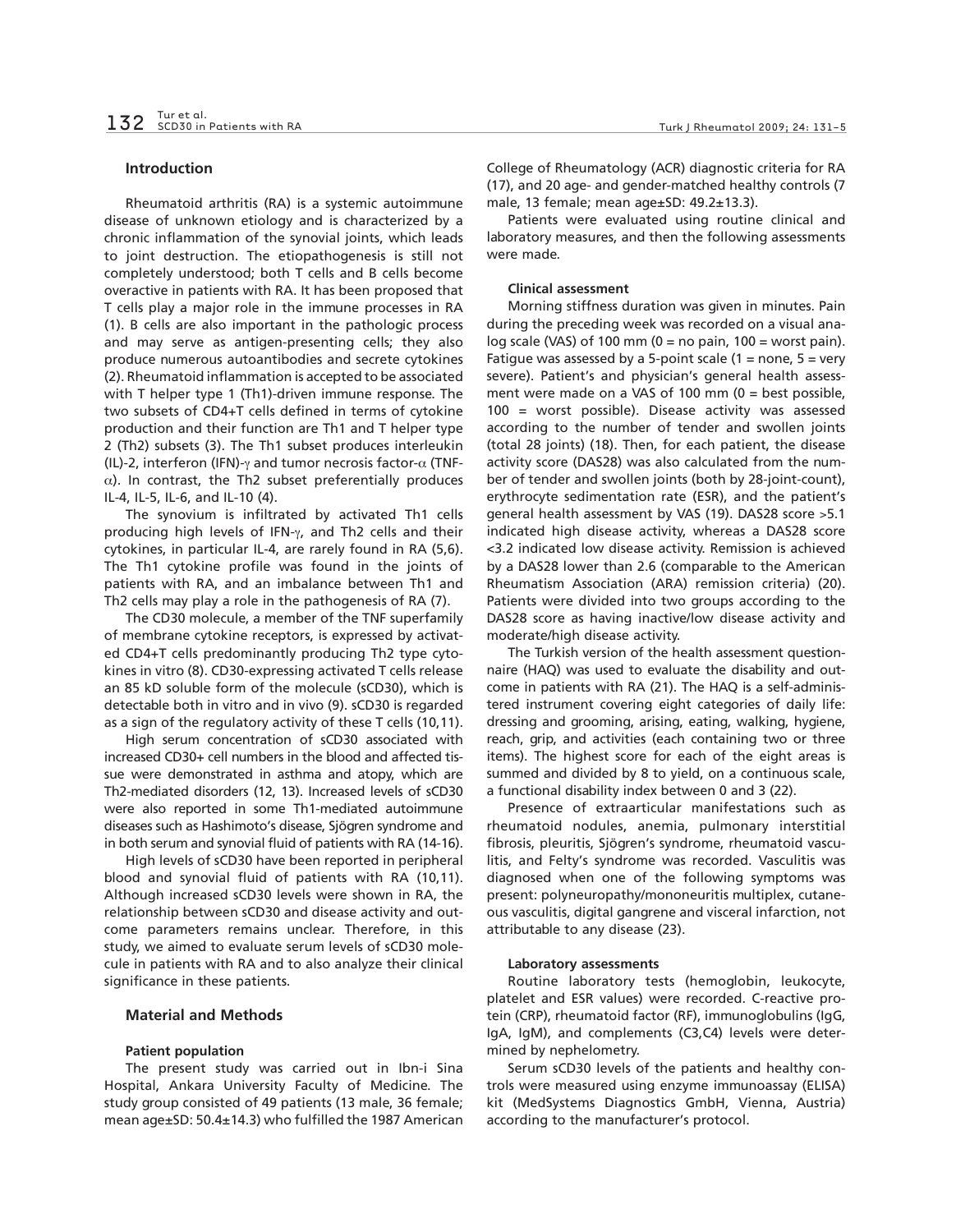## **Introduction**

Rheumatoid arthritis (RA) is a systemic autoimmune disease of unknown etiology and is characterized by a chronic inflammation of the synovial joints, which leads to joint destruction. The etiopathogenesis is still not completely understood; both T cells and B cells become overactive in patients with RA. It has been proposed that T cells play a major role in the immune processes in RA (1). B cells are also important in the pathologic process and may serve as antigen-presenting cells; they also produce numerous autoantibodies and secrete cytokines (2). Rheumatoid inflammation is accepted to be associated with T helper type 1 (Th1)-driven immune response. The two subsets of CD4+T cells defined in terms of cytokine production and their function are Th1 and T helper type 2 (Th2) subsets (3). The Th1 subset produces interleukin (IL)-2, interferon (IFN)- $\gamma$  and tumor necrosis factor- $\alpha$  (TNF- $\alpha$ ). In contrast, the Th2 subset preferentially produces IL-4, IL-5, IL-6, and IL-10 (4).

The synovium is infiltrated by activated Th1 cells producing high levels of IFN-γ, and Th2 cells and their cytokines, in particular IL-4, are rarely found in RA (5,6). The Th1 cytokine profile was found in the joints of patients with RA, and an imbalance between Th1 and Th2 cells may play a role in the pathogenesis of RA (7).

The CD30 molecule, a member of the TNF superfamily of membrane cytokine receptors, is expressed by activated CD4+T cells predominantly producing Th2 type cytokines in vitro (8). CD30-expressing activated T cells release an 85 kD soluble form of the molecule (sCD30), which is detectable both in vitro and in vivo (9). sCD30 is regarded as a sign of the regulatory activity of these T cells (10,11).

High serum concentration of sCD30 associated with increased CD30+ cell numbers in the blood and affected tissue were demonstrated in asthma and atopy, which are Th2-mediated disorders (12, 13). Increased levels of sCD30 were also reported in some Th1-mediated autoimmune diseases such as Hashimoto's disease, Sjögren syndrome and in both serum and synovial fluid of patients with RA (14-16).

High levels of sCD30 have been reported in peripheral blood and synovial fluid of patients with RA (10,11). Although increased sCD30 levels were shown in RA, the relationship between sCD30 and disease activity and outcome parameters remains unclear. Therefore, in this study, we aimed to evaluate serum levels of sCD30 molecule in patients with RA and to also analyze their clinical significance in these patients.

# **Material and Methods**

## **Patient population**

The present study was carried out in Ibn-i Sina Hospital, Ankara University Faculty of Medicine. The study group consisted of 49 patients (13 male, 36 female; mean age±SD: 50.4±14.3) who fulfilled the 1987 American College of Rheumatology (ACR) diagnostic criteria for RA (17), and 20 age- and gender-matched healthy controls (7 male, 13 female; mean age±SD: 49.2±13.3).

Patients were evaluated using routine clinical and laboratory measures, and then the following assessments were made.

# **Clinical assessment**

Morning stiffness duration was given in minutes. Pain during the preceding week was recorded on a visual analog scale (VAS) of 100 mm ( $0 =$  no pain, 100 = worst pain). Fatigue was assessed by a 5-point scale  $(1 = none, 5 = very$ severe). Patient's and physician's general health assessment were made on a VAS of 100 mm (0 = best possible, 100 = worst possible). Disease activity was assessed according to the number of tender and swollen joints (total 28 joints) (18). Then, for each patient, the disease activity score (DAS28) was also calculated from the number of tender and swollen joints (both by 28-joint-count), erythrocyte sedimentation rate (ESR), and the patient's general health assessment by VAS (19). DAS28 score >5.1 indicated high disease activity, whereas a DAS28 score <3.2 indicated low disease activity. Remission is achieved by a DAS28 lower than 2.6 (comparable to the American Rheumatism Association (ARA) remission criteria) (20). Patients were divided into two groups according to the DAS28 score as having inactive/low disease activity and moderate/high disease activity.

The Turkish version of the health assessment questionnaire (HAQ) was used to evaluate the disability and outcome in patients with RA (21). The HAQ is a self-administered instrument covering eight categories of daily life: dressing and grooming, arising, eating, walking, hygiene, reach, grip, and activities (each containing two or three items). The highest score for each of the eight areas is summed and divided by 8 to yield, on a continuous scale, a functional disability index between 0 and 3 (22).

Presence of extraarticular manifestations such as rheumatoid nodules, anemia, pulmonary interstitial fibrosis, pleuritis, Sjögren's syndrome, rheumatoid vasculitis, and Felty's syndrome was recorded. Vasculitis was diagnosed when one of the following symptoms was present: polyneuropathy/mononeuritis multiplex, cutaneous vasculitis, digital gangrene and visceral infarction, not attributable to any disease (23).

### **Laboratory assessments**

Routine laboratory tests (hemoglobin, leukocyte, platelet and ESR values) were recorded. C-reactive protein (CRP), rheumatoid factor (RF), immunoglobulins (IgG, IgA, IgM), and complements (C3,C4) levels were determined by nephelometry.

Serum sCD30 levels of the patients and healthy controls were measured using enzyme immunoassay (ELISA) kit (MedSystems Diagnostics GmbH, Vienna, Austria) according to the manufacturer's protocol.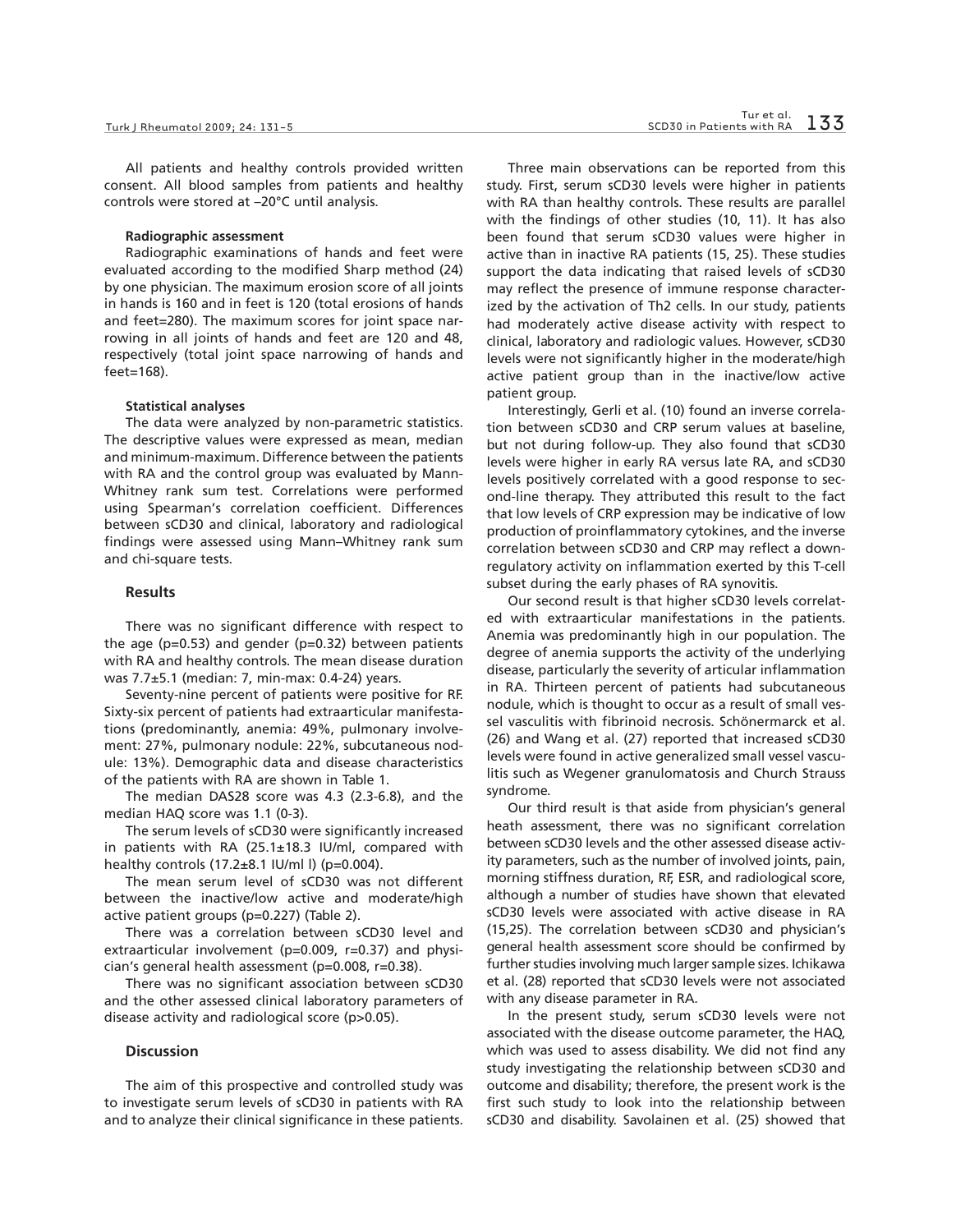All patients and healthy controls provided written consent. All blood samples from patients and healthy controls were stored at –20°C until analysis.

#### **Radiographic assessment**

Radiographic examinations of hands and feet were evaluated according to the modified Sharp method (24) by one physician. The maximum erosion score of all joints in hands is 160 and in feet is 120 (total erosions of hands and feet=280). The maximum scores for joint space narrowing in all joints of hands and feet are 120 and 48, respectively (total joint space narrowing of hands and feet=168).

## **Statistical analyses**

The data were analyzed by non-parametric statistics. The descriptive values were expressed as mean, median and minimum-maximum. Difference between the patients with RA and the control group was evaluated by Mann-Whitney rank sum test. Correlations were performed using Spearman's correlation coefficient. Differences between sCD30 and clinical, laboratory and radiological findings were assessed using Mann–Whitney rank sum and chi-square tests.

# **Results**

There was no significant difference with respect to the age ( $p=0.53$ ) and gender ( $p=0.32$ ) between patients with RA and healthy controls. The mean disease duration was 7.7±5.1 (median: 7, min-max: 0.4-24) years.

Seventy-nine percent of patients were positive for RF. Sixty-six percent of patients had extraarticular manifestations (predominantly, anemia: 49%, pulmonary involvement: 27%, pulmonary nodule: 22%, subcutaneous nodule: 13%). Demographic data and disease characteristics of the patients with RA are shown in Table 1.

The median DAS28 score was 4.3 (2.3-6.8), and the median HAQ score was 1.1 (0-3).

The serum levels of sCD30 were significantly increased in patients with RA (25.1±18.3 IU/ml, compared with healthy controls (17.2±8.1 IU/ml l) (p=0.004).

The mean serum level of sCD30 was not different between the inactive/low active and moderate/high active patient groups (p=0.227) (Table 2).

There was a correlation between sCD30 level and extraarticular involvement (p=0.009, r=0.37) and physician's general health assessment (p=0.008, r=0.38).

There was no significant association between sCD30 and the other assessed clinical laboratory parameters of disease activity and radiological score (p>0.05).

# **Discussion**

The aim of this prospective and controlled study was to investigate serum levels of sCD30 in patients with RA and to analyze their clinical significance in these patients.

Three main observations can be reported from this study. First, serum sCD30 levels were higher in patients with RA than healthy controls. These results are parallel with the findings of other studies (10, 11). It has also been found that serum sCD30 values were higher in active than in inactive RA patients (15, 25). These studies support the data indicating that raised levels of sCD30 may reflect the presence of immune response characterized by the activation of Th2 cells. In our study, patients had moderately active disease activity with respect to clinical, laboratory and radiologic values. However, sCD30 levels were not significantly higher in the moderate/high active patient group than in the inactive/low active patient group.

Interestingly, Gerli et al. (10) found an inverse correlation between sCD30 and CRP serum values at baseline, but not during follow-up. They also found that sCD30 levels were higher in early RA versus late RA, and sCD30 levels positively correlated with a good response to second-line therapy. They attributed this result to the fact that low levels of CRP expression may be indicative of low production of proinflammatory cytokines, and the inverse correlation between sCD30 and CRP may reflect a downregulatory activity on inflammation exerted by this T-cell subset during the early phases of RA synovitis.

Our second result is that higher sCD30 levels correlated with extraarticular manifestations in the patients. Anemia was predominantly high in our population. The degree of anemia supports the activity of the underlying disease, particularly the severity of articular inflammation in RA. Thirteen percent of patients had subcutaneous nodule, which is thought to occur as a result of small vessel vasculitis with fibrinoid necrosis. Schönermarck et al. (26) and Wang et al. (27) reported that increased sCD30 levels were found in active generalized small vessel vasculitis such as Wegener granulomatosis and Church Strauss syndrome.

Our third result is that aside from physician's general heath assessment, there was no significant correlation between sCD30 levels and the other assessed disease activity parameters, such as the number of involved joints, pain, morning stiffness duration, RF, ESR, and radiological score, although a number of studies have shown that elevated sCD30 levels were associated with active disease in RA (15,25). The correlation between sCD30 and physician's general health assessment score should be confirmed by further studies involving much larger sample sizes. Ichikawa et al. (28) reported that sCD30 levels were not associated with any disease parameter in RA.

In the present study, serum sCD30 levels were not associated with the disease outcome parameter, the HAQ, which was used to assess disability. We did not find any study investigating the relationship between sCD30 and outcome and disability; therefore, the present work is the first such study to look into the relationship between sCD30 and disability. Savolainen et al. (25) showed that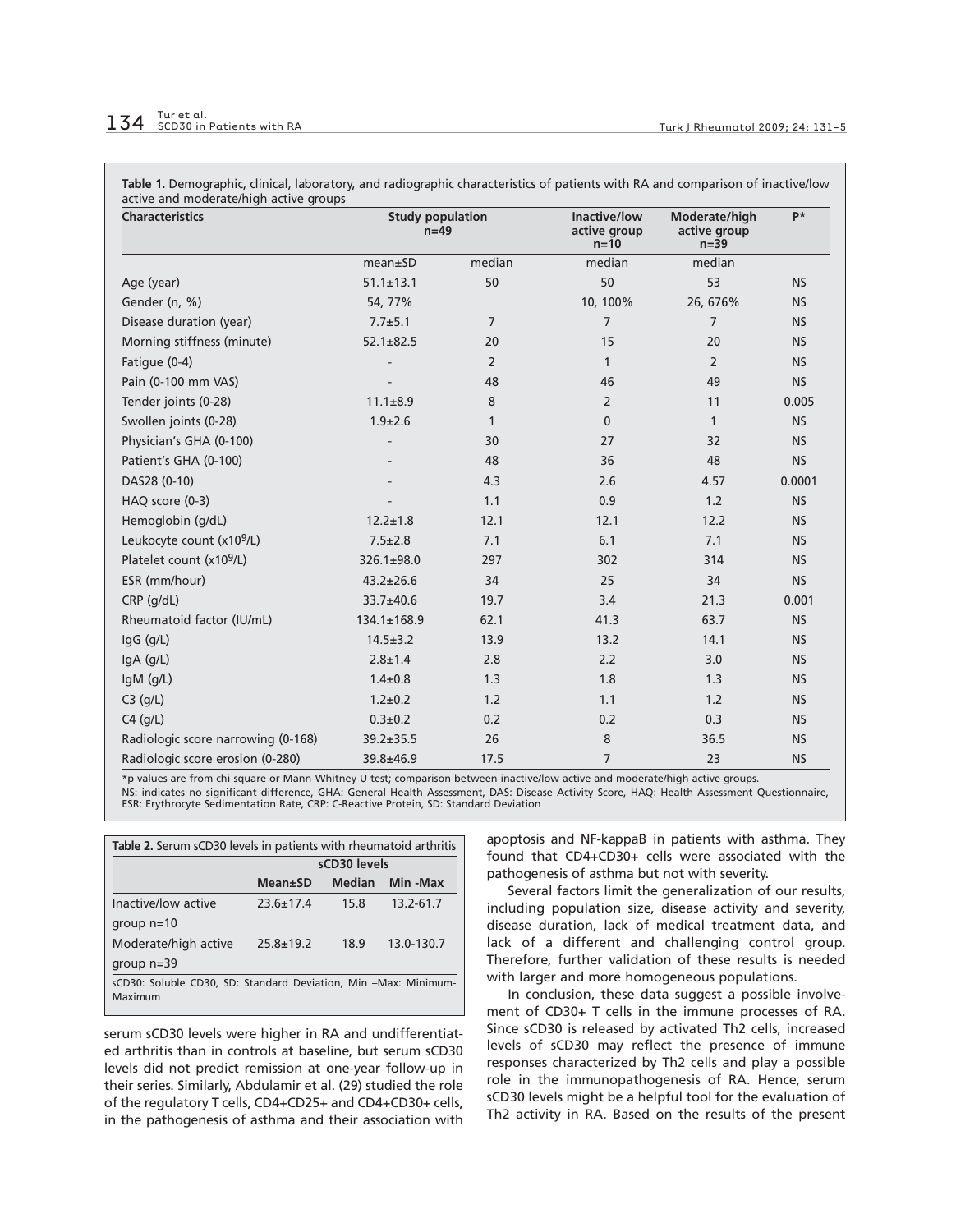| <b>Characteristics</b>                | <b>Study population</b><br>$n=49$ |                | Inactive/low<br>active group<br>$n=10$ | Moderate/high<br>active group<br>$n=39$ | p*        |
|---------------------------------------|-----------------------------------|----------------|----------------------------------------|-----------------------------------------|-----------|
|                                       | mean±SD                           | median         | median                                 | median                                  |           |
| Age (year)                            | $51.1 \pm 13.1$                   | 50             | 50                                     | 53                                      | <b>NS</b> |
| Gender (n, %)                         | 54, 77%                           |                | 10, 100%                               | 26, 676%                                | <b>NS</b> |
| Disease duration (year)               | $7.7 + 5.1$                       | $\overline{7}$ | $\overline{7}$                         | $\overline{7}$                          | <b>NS</b> |
| Morning stiffness (minute)            | $52.1 \pm 82.5$                   | 20             | 15                                     | 20                                      | <b>NS</b> |
| Fatigue (0-4)                         |                                   | $\overline{2}$ | $\mathbf{1}$                           | $\overline{2}$                          | <b>NS</b> |
| Pain (0-100 mm VAS)                   |                                   | 48             | 46                                     | 49                                      | <b>NS</b> |
| Tender joints (0-28)                  | $11.1 \pm 8.9$                    | 8              | 2                                      | 11                                      | 0.005     |
| Swollen joints (0-28)                 | $1.9 \pm 2.6$                     | $\mathbf{1}$   | $\mathbf{0}$                           | $\mathbf{1}$                            | <b>NS</b> |
| Physician's GHA (0-100)               |                                   | 30             | 27                                     | 32                                      | <b>NS</b> |
| Patient's GHA (0-100)                 |                                   | 48             | 36                                     | 48                                      | <b>NS</b> |
| DAS28 (0-10)                          |                                   | 4.3            | 2.6                                    | 4.57                                    | 0.0001    |
| HAQ score (0-3)                       |                                   | 1.1            | 0.9                                    | 1.2                                     | <b>NS</b> |
| Hemoglobin (g/dL)                     | $12.2 \pm 1.8$                    | 12.1           | 12.1                                   | 12.2                                    | <b>NS</b> |
| Leukocyte count (x10 <sup>9</sup> /L) | $7.5 \pm 2.8$                     | 7.1            | 6.1                                    | 7.1                                     | <b>NS</b> |
| Platelet count (x10 <sup>9</sup> /L)  | 326.1±98.0                        | 297            | 302                                    | 314                                     | <b>NS</b> |
| ESR (mm/hour)                         | $43.2 \pm 26.6$                   | 34             | 25                                     | 34                                      | <b>NS</b> |
| CRP (g/dL)                            | 33.7±40.6                         | 19.7           | 3.4                                    | 21.3                                    | 0.001     |
| Rheumatoid factor (IU/mL)             | 134.1±168.9                       | 62.1           | 41.3                                   | 63.7                                    | <b>NS</b> |
| IgG (g/L)                             | $14.5 \pm 3.2$                    | 13.9           | 13.2                                   | 14.1                                    | <b>NS</b> |
| IgA (g/L)                             | $2.8 \pm 1.4$                     | 2.8            | 2.2                                    | 3.0                                     | <b>NS</b> |
| $lgM$ ( $g/L$ )                       | $1.4 \pm 0.8$                     | 1.3            | 1.8                                    | 1.3                                     | <b>NS</b> |
| $C3$ (g/L)                            | $1.2 \pm 0.2$                     | 1.2            | 1.1                                    | 1.2                                     | <b>NS</b> |
| $C4$ (g/L)                            | $0.3 \pm 0.2$                     | 0.2            | 0.2                                    | 0.3                                     | <b>NS</b> |
| Radiologic score narrowing (0-168)    | $39.2 \pm 35.5$                   | 26             | 8                                      | 36.5                                    | <b>NS</b> |
| Radiologic score erosion (0-280)      | 39.8±46.9                         | 17.5           | $\overline{7}$                         | 23                                      | <b>NS</b> |

\*p values are from chi-square or Mann-Whitney U test; comparison between inactive/low active and moderate/high active groups.

NS: indicates no significant difference, GHA: General Health Assessment, DAS: Disease Activity Score, HAQ: Health Assessment Questionnaire, ESR: Erythrocyte Sedimentation Rate, CRP: C-Reactive Protein, SD: Standard Deviation

| <b>Table 2.</b> Serum sCD30 levels in patients with rheumatoid arthritis    |                 |               |            |  |  |  |
|-----------------------------------------------------------------------------|-----------------|---------------|------------|--|--|--|
|                                                                             | sCD30 levels    |               |            |  |  |  |
|                                                                             | $Mean \pm SD$   | <b>Median</b> | Min -Max   |  |  |  |
| Inactive/low active                                                         | $23.6 + 17.4$   | 15.8          | 13.2-61.7  |  |  |  |
| group $n=10$                                                                |                 |               |            |  |  |  |
| Moderate/high active                                                        | $25.8 \pm 19.2$ | 18.9          | 13.0-130.7 |  |  |  |
| group $n=39$                                                                |                 |               |            |  |  |  |
| sCD30: Soluble CD30, SD: Standard Deviation, Min - Max: Minimum-<br>Maximum |                 |               |            |  |  |  |

serum sCD30 levels were higher in RA and undifferentiated arthritis than in controls at baseline, but serum sCD30 levels did not predict remission at one-year follow-up in their series. Similarly, Abdulamir et al. (29) studied the role of the regulatory T cells, CD4+CD25+ and CD4+CD30+ cells, in the pathogenesis of asthma and their association with apoptosis and NF-kappaB in patients with asthma. They found that CD4+CD30+ cells were associated with the pathogenesis of asthma but not with severity.

Several factors limit the generalization of our results, including population size, disease activity and severity, disease duration, lack of medical treatment data, and lack of a different and challenging control group. Therefore, further validation of these results is needed with larger and more homogeneous populations.

In conclusion, these data suggest a possible involvement of CD30+ T cells in the immune processes of RA. Since sCD30 is released by activated Th2 cells, increased levels of sCD30 may reflect the presence of immune responses characterized by Th2 cells and play a possible role in the immunopathogenesis of RA. Hence, serum sCD30 levels might be a helpful tool for the evaluation of Th2 activity in RA. Based on the results of the present